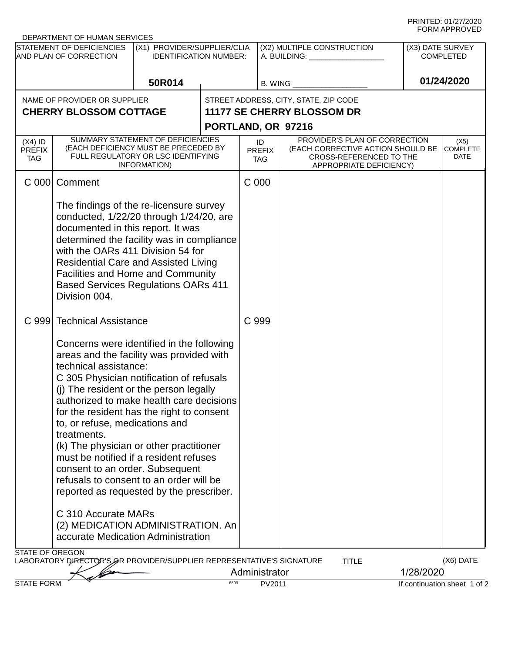PRINTED: 01/27/2020 FORM APPROVED

|                                                                                                                              | DEPARTMENT OF HUMAN SERVICES                                                                                                                                                                                                                                                                                                                                                                                                                                                                                                                                                         |                                                              |      |                                                             |                                                                                         |                                      |                                 |  |  |  |
|------------------------------------------------------------------------------------------------------------------------------|--------------------------------------------------------------------------------------------------------------------------------------------------------------------------------------------------------------------------------------------------------------------------------------------------------------------------------------------------------------------------------------------------------------------------------------------------------------------------------------------------------------------------------------------------------------------------------------|--------------------------------------------------------------|------|-------------------------------------------------------------|-----------------------------------------------------------------------------------------|--------------------------------------|---------------------------------|--|--|--|
| STATEMENT OF DEFICIENCIES<br>AND PLAN OF CORRECTION                                                                          |                                                                                                                                                                                                                                                                                                                                                                                                                                                                                                                                                                                      | (X1) PROVIDER/SUPPLIER/CLIA<br><b>IDENTIFICATION NUMBER:</b> |      | (X2) MULTIPLE CONSTRUCTION<br>A. BUILDING: ________________ |                                                                                         | (X3) DATE SURVEY<br><b>COMPLETED</b> |                                 |  |  |  |
|                                                                                                                              |                                                                                                                                                                                                                                                                                                                                                                                                                                                                                                                                                                                      | 50R014                                                       |      | B. WING                                                     |                                                                                         | 01/24/2020                           |                                 |  |  |  |
| NAME OF PROVIDER OR SUPPLIER                                                                                                 |                                                                                                                                                                                                                                                                                                                                                                                                                                                                                                                                                                                      |                                                              |      | STREET ADDRESS, CITY, STATE, ZIP CODE                       |                                                                                         |                                      |                                 |  |  |  |
|                                                                                                                              | <b>CHERRY BLOSSOM COTTAGE</b>                                                                                                                                                                                                                                                                                                                                                                                                                                                                                                                                                        |                                                              |      |                                                             | 11177 SE CHERRY BLOSSOM DR                                                              |                                      |                                 |  |  |  |
|                                                                                                                              |                                                                                                                                                                                                                                                                                                                                                                                                                                                                                                                                                                                      |                                                              |      | PORTLAND, OR 97216                                          |                                                                                         |                                      |                                 |  |  |  |
| $(X4)$ ID                                                                                                                    |                                                                                                                                                                                                                                                                                                                                                                                                                                                                                                                                                                                      | SUMMARY STATEMENT OF DEFICIENCIES                            |      |                                                             | PROVIDER'S PLAN OF CORRECTION                                                           |                                      |                                 |  |  |  |
| <b>PREFIX</b><br><b>TAG</b>                                                                                                  | (EACH DEFICIENCY MUST BE PRECEDED BY<br>FULL REGULATORY OR LSC IDENTIFYING<br>INFORMATION)                                                                                                                                                                                                                                                                                                                                                                                                                                                                                           |                                                              |      | ID<br><b>PREFIX</b><br>TAG.                                 | (EACH CORRECTIVE ACTION SHOULD BE<br>CROSS-REFERENCED TO THE<br>APPROPRIATE DEFICIENCY) |                                      | (X5)<br><b>COMPLETE</b><br>DATE |  |  |  |
| C <sub>000</sub>                                                                                                             | Comment                                                                                                                                                                                                                                                                                                                                                                                                                                                                                                                                                                              |                                                              |      | C 000                                                       |                                                                                         |                                      |                                 |  |  |  |
|                                                                                                                              | The findings of the re-licensure survey<br>conducted, 1/22/20 through 1/24/20, are<br>documented in this report. It was<br>determined the facility was in compliance<br>with the OARs 411 Division 54 for<br><b>Residential Care and Assisted Living</b><br><b>Facilities and Home and Community</b><br><b>Based Services Regulations OARs 411</b><br>Division 004.                                                                                                                                                                                                                  |                                                              |      |                                                             |                                                                                         |                                      |                                 |  |  |  |
| C 999                                                                                                                        | <b>Technical Assistance</b>                                                                                                                                                                                                                                                                                                                                                                                                                                                                                                                                                          |                                                              |      | C 999                                                       |                                                                                         |                                      |                                 |  |  |  |
|                                                                                                                              | Concerns were identified in the following<br>areas and the facility was provided with<br>technical assistance:<br>C 305 Physician notification of refusals<br>(j) The resident or the person legally<br>authorized to make health care decisions<br>for the resident has the right to consent<br>to, or refuse, medications and<br>treatments.<br>(k) The physician or other practitioner<br>must be notified if a resident refuses<br>consent to an order. Subsequent<br>refusals to consent to an order will be<br>reported as requested by the prescriber.<br>C 310 Accurate MARs |                                                              |      |                                                             |                                                                                         |                                      |                                 |  |  |  |
|                                                                                                                              | (2) MEDICATION ADMINISTRATION. An<br>accurate Medication Administration                                                                                                                                                                                                                                                                                                                                                                                                                                                                                                              |                                                              |      |                                                             |                                                                                         |                                      |                                 |  |  |  |
| <b>STATE OF OREGON</b><br>(X6) DATE<br>LABORATORY DIRECTOR'S OR PROVIDER/SUPPLIER REPRESENTATIVE'S SIGNATURE<br><b>TITLE</b> |                                                                                                                                                                                                                                                                                                                                                                                                                                                                                                                                                                                      |                                                              |      |                                                             |                                                                                         |                                      |                                 |  |  |  |
|                                                                                                                              |                                                                                                                                                                                                                                                                                                                                                                                                                                                                                                                                                                                      |                                                              |      | Administrator                                               |                                                                                         | 1/28/2020                            |                                 |  |  |  |
| <b>STATE FORM</b>                                                                                                            |                                                                                                                                                                                                                                                                                                                                                                                                                                                                                                                                                                                      |                                                              | 6899 | PV2011                                                      |                                                                                         | If continuation sheet 1 of 2         |                                 |  |  |  |